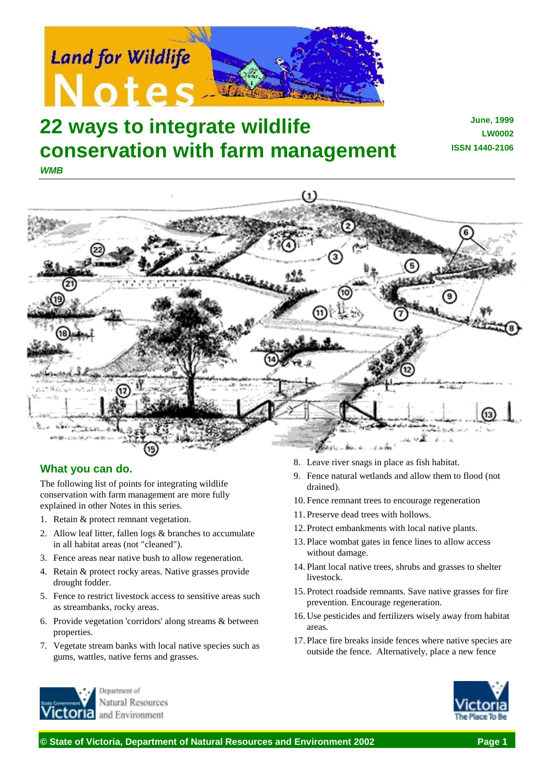

## **22 ways to integrate wildlife conservation with farm management** *WMB*

**June, 1999 LW0002 ISSN 1440-2106**



## **What you can do.**

The following list of points for integrating wildlife conservation with farm management are more fully explained in other Notes in this series.

- 1. Retain & protect remnant vegetation.
- 2. Allow leaf litter, fallen logs & branches to accumulate in all habitat areas (not "cleaned").
- 3. Fence areas near native bush to allow regeneration.
- 4. Retain & protect rocky areas. Native grasses provide drought fodder.
- 5. Fence to restrict livestock access to sensitive areas such as streambanks, rocky areas.
- 6. Provide vegetation 'corridors' along streams & between properties.
- 7. Vegetate stream banks with local native species such as gums, wattles, native ferns and grasses.
- Jenartment of Natural Resources and Environment
- 8. Leave river snags in place as fish habitat.
- 9. Fence natural wetlands and allow them to flood (not drained).
- 10. Fence remnant trees to encourage regeneration
- 11. Preserve dead trees with hollows.
- 12. Protect embankments with local native plants.
- 13. Place wombat gates in fence lines to allow access without damage.
- 14. Plant local native trees, shrubs and grasses to shelter livestock.
- 15. Protect roadside remnants. Save native grasses for fire prevention. Encourage regeneration.
- 16. Use pesticides and fertilizers wisely away from habitat areas.
- 17. Place fire breaks inside fences where native species are outside the fence. Alternatively, place a new fence